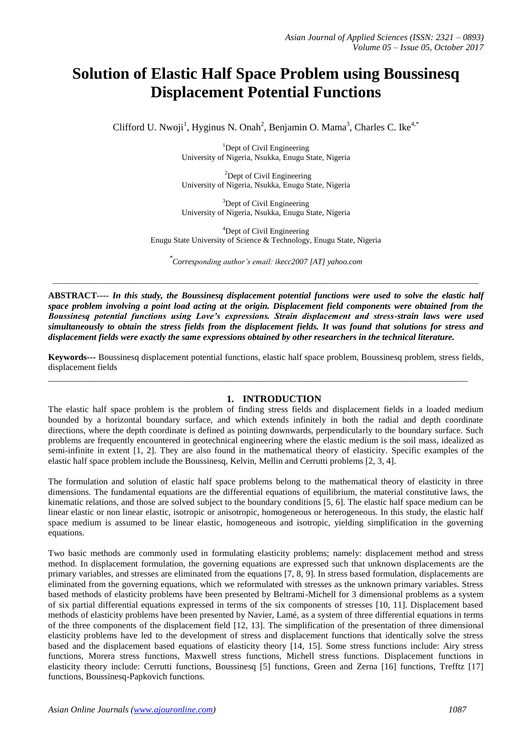# **Solution of Elastic Half Space Problem using Boussinesq Displacement Potential Functions**

Clifford U. Nwoji<sup>1</sup>, Hyginus N. Onah<sup>2</sup>, Benjamin O. Mama<sup>3</sup>, Charles C. Ike<sup>4,\*</sup>

<sup>1</sup>Dept of Civil Engineering University of Nigeria, Nsukka, Enugu State, Nigeria

 ${}^{2}$ Dept of Civil Engineering University of Nigeria, Nsukka, Enugu State, Nigeria

 $3$ Dept of Civil Engineering University of Nigeria, Nsukka, Enugu State, Nigeria

<sup>4</sup>Dept of Civil Engineering Enugu State University of Science & Technology, Enugu State, Nigeria

*\* Corresponding author's email: ikecc2007 [AT] yahoo.com*

*\_\_\_\_\_\_\_\_\_\_\_\_\_\_\_\_\_\_\_\_\_\_\_\_\_\_\_\_\_\_\_\_\_\_\_\_\_\_\_\_\_\_\_\_\_\_\_\_\_\_\_\_\_\_\_\_\_\_\_\_\_\_\_\_\_\_\_\_\_\_\_\_\_\_\_\_\_\_\_\_\_\_\_\_\_\_\_\_\_\_\_\_\_\_\_\_\_\_\_\_\_\_\_\_\_\_*

**ABSTRACT----** *In this study, the Boussinesq displacement potential functions were used to solve the elastic half space problem involving a point load acting at the origin. Displacement field components were obtained from the Boussinesq potential functions using Love's expressions. Strain displacement and stress-strain laws were used simultaneously to obtain the stress fields from the displacement fields. It was found that solutions for stress and displacement fields were exactly the same expressions obtained by other researchers in the technical literature.*

**Keywords---** Boussinesq displacement potential functions, elastic half space problem, Boussinesq problem, stress fields, displacement fields

\_\_\_\_\_\_\_\_\_\_\_\_\_\_\_\_\_\_\_\_\_\_\_\_\_\_\_\_\_\_\_\_\_\_\_\_\_\_\_\_\_\_\_\_\_\_\_\_\_\_\_\_\_\_\_\_\_\_\_\_\_\_\_\_\_\_\_\_\_\_\_\_\_\_\_\_\_\_\_\_\_\_\_\_\_\_\_\_\_\_\_\_\_\_

# **1. INTRODUCTION**

The elastic half space problem is the problem of finding stress fields and displacement fields in a loaded medium bounded by a horizontal boundary surface, and which extends infinitely in both the radial and depth coordinate directions, where the depth coordinate is defined as pointing downwards, perpendicularly to the boundary surface. Such problems are frequently encountered in geotechnical engineering where the elastic medium is the soil mass, idealized as semi-infinite in extent [1, 2]. They are also found in the mathematical theory of elasticity. Specific examples of the elastic half space problem include the Boussinesq, Kelvin, Mellin and Cerrutti problems [2, 3, 4].

The formulation and solution of elastic half space problems belong to the mathematical theory of elasticity in three dimensions. The fundamental equations are the differential equations of equilibrium, the material constitutive laws, the kinematic relations, and those are solved subject to the boundary conditions [5, 6]. The elastic half space medium can be linear elastic or non linear elastic, isotropic or anisotropic, homogeneous or heterogeneous. In this study, the elastic half space medium is assumed to be linear elastic, homogeneous and isotropic, yielding simplification in the governing equations.

Two basic methods are commonly used in formulating elasticity problems; namely: displacement method and stress method. In displacement formulation, the governing equations are expressed such that unknown displacements are the primary variables, and stresses are eliminated from the equations [7, 8, 9]. In stress based formulation, displacements are eliminated from the governing equations, which we reformulated with stresses as the unknown primary variables. Stress based methods of elasticity problems have been presented by Beltrami-Michell for 3 dimensional problems as a system of six partial differential equations expressed in terms of the six components of stresses [10, 11]. Displacement based methods of elasticity problems have been presented by Navier, Lamé, as a system of three differential equations in terms of the three components of the displacement field [12, 13]. The simplification of the presentation of three dimensional elasticity problems have led to the development of stress and displacement functions that identically solve the stress based and the displacement based equations of elasticity theory [14, 15]. Some stress functions include: Airy stress functions, Morera stress functions, Maxwell stress functions, Michell stress functions. Displacement functions in elasticity theory include: Cerrutti functions, Boussinesq [5] functions, Green and Zerna [16] functions, Trefftz [17] functions, Boussinesq-Papkovich functions.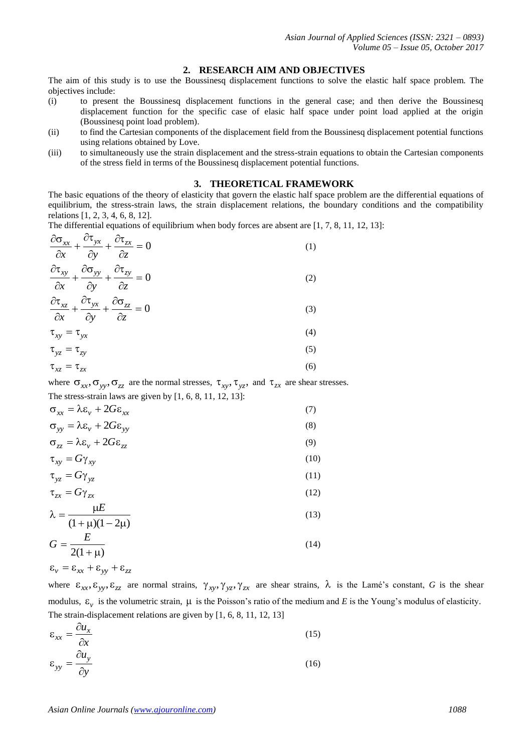# **2. RESEARCH AIM AND OBJECTIVES**

The aim of this study is to use the Boussinesq displacement functions to solve the elastic half space problem. The objectives include:

- (i) to present the Boussinesq displacement functions in the general case; and then derive the Boussinesq displacement function for the specific case of elasic half space under point load applied at the origin (Boussinesq point load problem).
- (ii) to find the Cartesian components of the displacement field from the Boussinesq displacement potential functions using relations obtained by Love.
- (iii) to simultaneously use the strain displacement and the stress-strain equations to obtain the Cartesian components of the stress field in terms of the Boussinesq displacement potential functions.

## **3. THEORETICAL FRAMEWORK**

The basic equations of the theory of elasticity that govern the elastic half space problem are the differential equations of equilibrium, the stress-strain laws, the strain displacement relations, the boundary conditions and the compatibility relations [1, 2, 3, 4, 6, 8, 12].

The differential equations of equilibrium when body forces are absent are [1, 7, 8, 11, 12, 13]:

$$
\frac{\partial \sigma_{xx}}{\partial x} + \frac{\partial \tau_{yx}}{\partial y} + \frac{\partial \tau_{zx}}{\partial z} = 0
$$
\n(1)\n
$$
\frac{\partial \sigma_{xy}}{\partial x} = \frac{\partial \sigma_{yy}}{\partial x} + \frac{\partial \sigma_{zy}}{\partial y} = 0
$$

$$
\frac{\partial \tau_{xy}}{\partial x} + \frac{\partial \sigma_{yy}}{\partial y} + \frac{\partial \tau_{zy}}{\partial z} = 0
$$
 (2)

$$
\frac{\partial \tau_{xz}}{\partial x} + \frac{\partial \tau_{yx}}{\partial y} + \frac{\partial \sigma_{zz}}{\partial z} = 0
$$
 (3)

$$
\tau_{xy} = \tau_{yx} \tag{4}
$$
\n
$$
\tau_{xx} = \tau \tag{5}
$$

$$
\tau_{xz} = \tau_{zx} \tag{6}
$$

where  $\sigma_{xx}, \sigma_{yy}, \sigma_{zz}$  are the normal stresses,  $\tau_{xy}, \tau_{yz}$ , and  $\tau_{zx}$  are shear stresses. The stress-strain laws are given by [1, 6, 8, 11, 12, 13]:

$$
\sigma_{xx} = \lambda \varepsilon_{v} + 2G\varepsilon_{xx}
$$
\n(7)  
\n
$$
\sigma_{yy} = \lambda \varepsilon_{v} + 2G\varepsilon_{yy}
$$
\n(8)

$$
\sigma_{zz} = \lambda \varepsilon_v + 2G \varepsilon_{zz} \tag{9}
$$

$$
\tau_{xy} = G\gamma_{xy} \tag{10}
$$
\n
$$
\tau_{xy} = G\gamma_{xy} \tag{11}
$$

$$
\tau_{yz} = G\gamma_{yz}
$$
\n
$$
\tau_{zx} = G\gamma_{zx}
$$
\n(12)

$$
\lambda = \frac{\mu E}{(1-\lambda)(1-\lambda)}
$$
 (13)

$$
\kappa = \frac{E}{(1 + \mu)(1 - 2\mu)}
$$
(13)  

$$
G = \frac{E}{2(1 + \mu)}
$$
(14)

$$
\varepsilon_{v} = \varepsilon_{xx} + \varepsilon_{yy} + \varepsilon_{zz}
$$

where  $\epsilon_{xx}, \epsilon_{yy}, \epsilon_{zz}$  are normal strains,  $\gamma_{xy}, \gamma_{yz}, \gamma_{zx}$  are shear strains,  $\lambda$  is the Lamé's constant, *G* is the shear modulus,  $\epsilon_{v}$  is the volumetric strain,  $\mu$  is the Poisson's ratio of the medium and *E* is the Young's modulus of elasticity. The strain-displacement relations are given by [1, 6, 8, 11, 12, 13]

$$
\varepsilon_{xx} = \frac{\partial u_x}{\partial x} \tag{15}
$$

$$
\varepsilon_{yy} = \frac{\partial u_y}{\partial y} \tag{16}
$$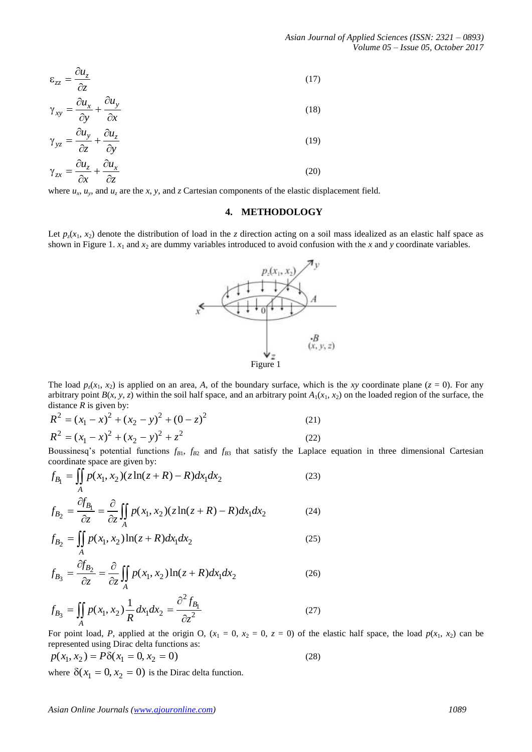$$
\varepsilon_{zz} = \frac{\partial u_z}{\partial z}
$$
\n
$$
\gamma_{xy} = \frac{\partial u_x}{\partial z} + \frac{\partial u_y}{\partial z}
$$
\n(17)

$$
\gamma_{xy} = \frac{\partial y}{\partial y} + \frac{\partial x}{\partial z}
$$
\n
$$
\gamma_{yz} = \frac{\partial u_y}{\partial z} + \frac{\partial u_z}{\partial y}
$$
\n(19)

$$
\gamma_{zx} = \frac{\partial u_z}{\partial x} + \frac{\partial u_x}{\partial z} \tag{20}
$$

where  $u_x$ ,  $u_y$ , and  $u_z$  are the *x*, *y*, and *z* Cartesian components of the elastic displacement field.

# **4. METHODOLOGY**

Let  $p_z(x_1, x_2)$  denote the distribution of load in the *z* direction acting on a soil mass idealized as an elastic half space as shown in Figure 1.  $x_1$  and  $x_2$  are dummy variables introduced to avoid confusion with the *x* and *y* coordinate variables.



The load  $p_z(x_1, x_2)$  is applied on an area, A, of the boundary surface, which is the *xy* coordinate plane ( $z = 0$ ). For any arbitrary point  $B(x, y, z)$  within the soil half space, and an arbitrary point  $A_1(x_1, x_2)$  on the loaded region of the surface, the

distance *R* is given by:  
\n
$$
R^{2} = (x_{1} - x)^{2} + (x_{2} - y)^{2} + (0 - z)^{2}
$$
\n
$$
R^{2} = (x_{1} - x)^{2} + (x_{2} - y)^{2} + z^{2}
$$
\n(21)

Boussinesq's potential functions  $f_{B1}$ ,  $f_{B2}$  and  $f_{B3}$  that satisfy the Laplace equation in three dimensional Cartesian

coordinate space are given by:  
\n
$$
f_{B_1} = \iint_A p(x_1, x_2) (z \ln(z + R) - R) dx_1 dx_2
$$
\n(23)

$$
f_{B_2} = \frac{\partial f_{B_1}}{\partial z} = \frac{\partial}{\partial z} \iint_A p(x_1, x_2) (z \ln(z + R) - R) dx_1 dx_2
$$
 (24)

$$
f_{B_2} = \iint_A p(x_1, x_2) \ln(z + R) dx_1 dx_2
$$
 (25)

$$
f_{B_3} = \frac{\partial f_{B_2}}{\partial z} = \frac{\partial}{\partial z} \iint_A p(x_1, x_2) \ln(z + R) dx_1 dx_2
$$
 (26)

$$
f_{B_3} = \iint_A p(x_1, x_2) \frac{1}{R} dx_1 dx_2 = \frac{\partial^2 f_{B_1}}{\partial z^2}
$$
 (27)

For point load, *P*, applied at the origin O,  $(x_1 = 0, x_2 = 0, z = 0)$  of the elastic half space, the load  $p(x_1, x_2)$  can be

represented using Dirac delta functions as:  
\n
$$
p(x_1, x_2) = P\delta(x_1 = 0, x_2 = 0)
$$
\n(28)

where  $\delta(x_1 = 0, x_2 = 0)$  is the Dirac delta function.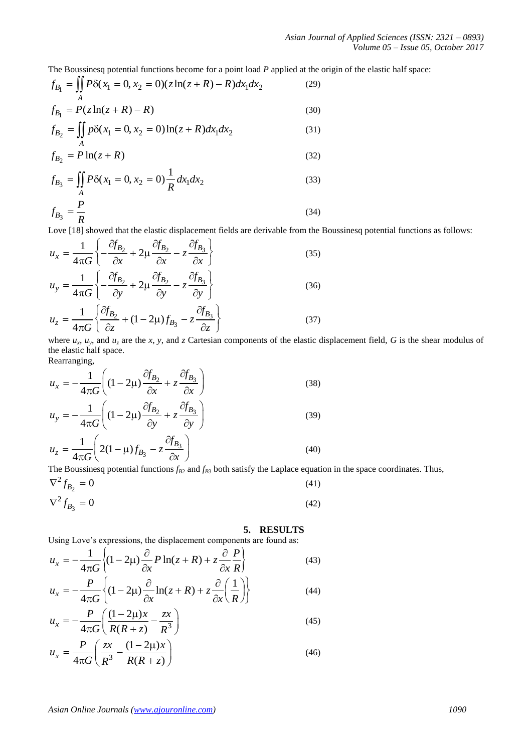The Boussinesq potential functions become for a point load *P* applied at the origin of the elastic half space:

The Boussinesq potential functions become for a point load *P* applied at the  
\n
$$
f_{B_1} = \iint_A P\delta(x_1 = 0, x_2 = 0)(z \ln(z + R) - R) dx_1 dx_2
$$
\n(29)  
\n
$$
f_{B_1} = P(z \ln(z + R) - R)
$$
\n(30)

$$
f_{B_1} = P(z \ln(z + R) - R)
$$
\n
$$
f_{B_2} = \iint_A p\delta(x_1 = 0, x_2 = 0) \ln(z + R) dx_1 dx_2
$$
\n(30)\n(31)

$$
f_{B_2} = P \ln(z + R) \tag{32}
$$

$$
f_{B_3} = \iint_A P\delta(x_1 = 0, x_2 = 0) \frac{1}{R} dx_1 dx_2
$$
\n(33)  
\n
$$
f_{B_3} = \frac{P}{R}
$$
\n(34)

Love [18] showed that the elastic displacement fields are derivable from the Boussinesq potential functions as follows:<br> $f = \frac{1}{\sqrt{6}} \int \frac{\partial f_{B_2}}{\partial f_{B_2}} + \frac{\partial f_{B_3}}{\partial f_{B_3}}$ 

$$
u_x = \frac{1}{4\pi G} \left\{ -\frac{\partial f_{B_2}}{\partial x} + 2\mu \frac{\partial f_{B_2}}{\partial x} - z \frac{\partial f_{B_3}}{\partial x} \right\}
$$
(35)  

$$
u_y = \frac{1}{4\pi G} \left\{ -\frac{\partial f_{B_2}}{\partial y} + 2\mu \frac{\partial f_{B_2}}{\partial y} - z \frac{\partial f_{B_3}}{\partial y} \right\}
$$
(36)  

$$
u_z = \frac{1}{4\pi G} \left\{ \frac{\partial f_{B_2}}{\partial z} + (1 - 2\mu) f_{B_3} - z \frac{\partial f_{B_3}}{\partial z} \right\}
$$
(37)

where  $u_x$ ,  $u_y$ , and  $u_z$  are the *x*, *y*, and *z* Cartesian components of the elastic displacement field, *G* is the shear modulus of the elastic half space.

Rearranging,

Rearranging,  
\n
$$
u_x = -\frac{1}{4\pi G} \left( (1 - 2\mu) \frac{\partial f_{B_2}}{\partial x} + z \frac{\partial f_{B_3}}{\partial x} \right)
$$
\n
$$
u_y = -\frac{1}{4\pi G} \left( (1 - 2\mu) \frac{\partial f_{B_2}}{\partial y} + z \frac{\partial f_{B_3}}{\partial y} \right)
$$
\n
$$
u_z = \frac{1}{4\pi G} \left( 2(1 - \mu) f_{B_3} - z \frac{\partial f_{B_3}}{\partial x} \right)
$$
\n(39)

The Boussinesq potential functions  $f_{B2}$  and  $f_{B3}$  both satisfy the Laplace equation in the space coordinates. Thus,  $\overline{2}$ 

$$
\nabla^2 f_{B_2} = 0
$$
\n(41)\n
$$
\nabla^2 f_{B_3} = 0
$$
\n(42)

### **5. RESULTS**

Using Love's expressions, the displacement components are found as:  
\n
$$
u_x = -\frac{1}{4\pi G} \left\{ (1 - 2\mu) \frac{\partial}{\partial x} P \ln(z + R) + z \frac{\partial P}{\partial x R} \right\}
$$
\n(43)  
\n
$$
u_y = -\frac{P}{4\pi G} \left\{ (1 - 2\mu) \frac{\partial}{\partial x} \ln(z + R) + z \frac{\partial}{\partial z} \left( \frac{1}{z} \right) \right\}
$$
\n(44)

$$
u_x = -\frac{P}{4\pi G} \left\{ (1 - 2\mu) \frac{\partial}{\partial x} \ln(z + R) + z \frac{\partial}{\partial x} \left( \frac{1}{R} \right) \right\}
$$
(44)

$$
u_x = -\frac{P}{4\pi G} \left( \frac{(1 - 2\mu)x}{R(R + z)} - \frac{zx}{R^3} \right)
$$
(45)

$$
u_x = \frac{P}{4\pi G} \left( \frac{zx}{R^3} - \frac{(1 - 2\mu)x}{R(R + z)} \right)
$$
(46)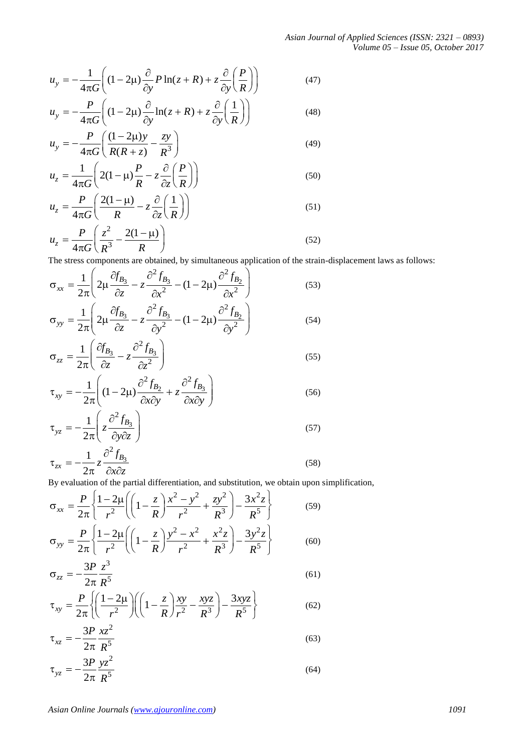*Asian Journal of Applied Sciences (ISSN: 2321 – 0893) Volume 05 – Issue 05, October 2017*

(48)

$$
u_y = -\frac{1}{4\pi G} \left( (1 - 2\mu) \frac{\partial}{\partial y} P \ln(z + R) + z \frac{\partial}{\partial y} \left( \frac{P}{R} \right) \right)
$$
(47)  

$$
u_y = -\frac{P}{2\pi} \left( (1 - 2\mu) \frac{\partial}{\partial z} \ln(z + R) + z \frac{\partial}{\partial z} \left( \frac{1}{R} \right) \right)
$$
(48)

$$
u_y = -\frac{P}{4\pi G} \left( (1 - 2\mu) \frac{\partial}{\partial y} \ln(z + R) + z \frac{\partial}{\partial y} \left( \frac{1}{R} \right) \right)
$$

$$
u_y = -\frac{P}{4\pi G} \left( \frac{(1 - 2\mu)y}{R(R + z)} - \frac{zy}{R^3} \right)
$$
  
\n
$$
u_z = \frac{1}{4\pi G} \left( 2(1 - \mu) \frac{P}{R} - z \frac{\partial}{\partial z} \left( \frac{P}{R} \right) \right)
$$
\n(49)

$$
u_z = \frac{1}{4\pi G} \left( 2(1 - \mu) \frac{P}{R} - z \frac{\partial}{\partial z} \left( \frac{P}{R} \right) \right)
$$
(50)  

$$
u_z = \frac{P}{4\pi G} \left( \frac{2(1 - \mu)}{R} - z \frac{\partial}{\partial z} \left( \frac{1}{R} \right) \right)
$$
(51)

$$
u_z = \frac{P}{4\pi G} \left( \frac{z^2}{R^3} - \frac{2(1-\mu)}{R} \right)
$$
 (52)

The stress components are obtained, by simultaneous application of the strain-displacement laws as follows:  
\n
$$
\sigma_{xx} = \frac{1}{2\pi} \left( 2\mu \frac{\partial f_{B_3}}{\partial z} - z \frac{\partial^2 f_{B_3}}{\partial x^2} - (1 - 2\mu) \frac{\partial^2 f_{B_2}}{\partial x^2} \right)
$$
\n(53)  
\n
$$
\sigma_{yy} = \frac{1}{2\pi} \left( 2\mu \frac{\partial f_{B_3}}{\partial z} - z \frac{\partial^2 f_{B_3}}{\partial y^2} - (1 - 2\mu) \frac{\partial^2 f_{B_2}}{\partial y^2} \right)
$$
\n(54)

$$
\sigma_{zz} = \frac{1}{2\pi} \left( \frac{\partial f_{B_3}}{\partial z} - z \frac{\partial^2 f_{B_3}}{\partial z^2} \right)
$$
(55)

$$
\begin{aligned}\n &\hat{z} \quad \frac{\partial z}{\partial x} \quad \frac{\partial z^2}{\partial x \partial y} \\
 &\hat{z} \quad \frac{1}{2\pi} \left( (1 - 2\mu) \frac{\partial^2 f_{B_2}}{\partial x \partial y} + z \frac{\partial^2 f_{B_3}}{\partial x \partial y} \right)\n \end{aligned}
$$
\n
$$
(56)
$$

$$
\tau_{yz} = -\frac{1}{2\pi} \left( z \frac{\partial^2 f_{B_3}}{\partial y \partial z} \right)
$$
\n(57)

$$
\tau_{zx} = -\frac{1}{2\pi} z \frac{\partial J_{B_3}}{\partial x \partial z}
$$
\n(58)

$$
u_y = -\frac{1}{4\pi G} \left( (1 - 2\mu) \frac{\partial}{\partial y} P \ln(z + R) + z \frac{\partial}{\partial y} \left( \frac{P}{R} \right) \right)
$$
(47)  
\n
$$
u_y = -\frac{P}{4\pi G} \left( (1 - 2\mu) \frac{\partial}{\partial y} \ln(z + R) + z \frac{\partial}{\partial y} \left( \frac{1}{R} \right) \right)
$$
(48)  
\n
$$
u_y = -\frac{P}{4\pi G} \left( \frac{(1 - 2\mu)y}{R(R + z)} - \frac{zy}{R^3} \right)
$$
(49)  
\n
$$
u_z = \frac{1}{4\pi G} \left( 2(1 - \mu) \frac{P}{R} - z \frac{\partial}{\partial z} \left( \frac{P}{R} \right) \right)
$$
(50)  
\n
$$
u_z = \frac{P}{4\pi G} \left( \frac{z(1 - \mu)}{R} - z \frac{\partial}{\partial z} \left( \frac{P}{R} \right) \right)
$$
(51)  
\n
$$
u_z = \frac{P}{4\pi G} \left( \frac{z^2}{R} - \frac{2(1 - \mu)}{2} \right)
$$
(52)  
\nThe stress component are obtained, by simultaneous application of the strain-displacement laws as follows:  
\n
$$
\sigma_{xy} = \frac{1}{2\pi} \left( 2\mu \frac{\partial f_{B_3}}{\partial z} - z \frac{\partial^2 f_{B_2}}{\partial z^2} - (1 - 2\mu) \frac{\partial^2 f_{B_2}}{\partial z^2} \right)
$$
(53)  
\n
$$
\sigma_{yy} = \frac{1}{2\pi} \left( 2\mu \frac{\partial f_{B_3}}{\partial z} - z \frac{\partial^2 f_{B_3}}{\partial z^2} \right)
$$
(55)  
\n
$$
\tau_{xy} = -\frac{1}{2\pi} \left( (1 - 2\mu) \frac{\partial^2 f_{B_2}}{\partial x \partial y} + z \frac{\partial^2 f_{B_3}}{\partial x \partial y} \right)
$$
(56)  
\n
$$
\tau_{yx} = -\frac{1}{2\pi} \left( z \frac{\partial^2 f_{B_3}}{\partial x \partial z} \right)
$$
(57)  
\n
$$
\tau_{yx} = -\frac{
$$

$$
\sigma_{zz} = -\frac{3P}{2\pi} \frac{z^3}{R^5}
$$
\n
$$
\tau_{xx} = \frac{P}{\sqrt{2\pi}} \left( \frac{1 - 2\mu}{1 - \frac{2\mu}{\lambda}} \right) \left( \frac{1 - z}{1 - \frac{2\mu}{\lambda}} \frac{xy}{1 - \frac{2\mu}{\lambda}} \right) - \frac{3xyz}{\lambda} \tag{62}
$$

$$
\sigma_{zz} = -\frac{P}{2\pi} \frac{1}{R^5}
$$
\n
$$
\tau_{xy} = \frac{P}{2\pi} \left\{ \left( \frac{1 - 2\mu}{r^2} \right) \left( \left( 1 - \frac{z}{R} \right) \frac{xy}{r^2} - \frac{xyz}{R^3} \right) - \frac{3xyz}{R^5} \right\}
$$
\n(61)

$$
\tau_{xz} = -\frac{3P}{2\pi} \frac{xz^2}{R^5}
$$
 (63)

$$
\tau_{yz} = -\frac{3P}{2\pi} \frac{yz^2}{R^5}
$$
 (64)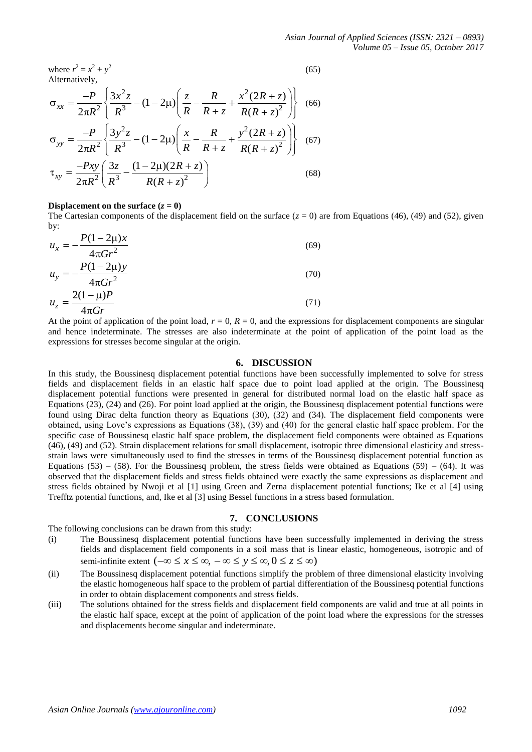*Asian Journal of Applied Sciences (ISSN: 2321 – 0893) Volume 05 – Issue 05, October 2017*

where  $r^2 = x^2 + y^2$ (65) Alternatively,  $\int z^2$  2 2  $\int z^2 R$   $x^2$ + y<sup>2</sup><br>
2  $\int \frac{3x^2z}{R^3} - (1-2\mu) \left( \frac{z}{R} - \frac{R}{R+z} + \frac{x^2(2R+z)}{R(R+z)^2} \right)$  $x_x = \frac{-P}{2\pi R^2} \left\{ \frac{3x^2z}{R^3} - (1-2\mu) \left( \frac{z}{R} - \frac{R}{R+z} + \frac{x^2(2R+z)}{R(R+z)} \right) \right\}$  $\frac{R^2 + y^2}{P}$ <br>*P*  $\left( \frac{3x^2z}{2} - (1 - 2\mu) \right) \left( \frac{z}{2} - \frac{R}{2} + \frac{x^2(2R + z)}{2} \right)$  $\frac{P}{R^2}$  $\left\{ \frac{3x^2z}{R^3} - (1-2\mu) \right\} \left( \frac{z}{R} - \frac{R}{R+z} + \frac{x^2(2R+z)}{R(R+z)} \right)$  $= x^2 + y^2$  (65)<br>
rely,<br>  $-P \left[ \frac{3x^2z}{2} - (1 - 2\mu) \left( \frac{z}{2} - \frac{R}{2} + \frac{x^2(2R + z)}{2} \right) \right]$  (66) Alternatively,<br>  $\sigma_{xx} = \frac{-P}{2\pi R^2} \left\{ \frac{3x^2z}{R^3} - (1-2\mu) \left( \frac{z}{R} - \frac{R}{R+z} + \frac{x^2(2R+z)}{R(R+z)^2} \right) \right\}$  (66)  $\frac{(-P)}{\pi R^2} \left\{ \frac{3x^2z}{R^3} - (1-2\mu) \left( \frac{z}{R} - \frac{R}{R+z} + \frac{x^2(2R+z)}{R(R+z)^2} \right) \right\}$  (66) (66)  $\begin{array}{c}\n\begin{array}{ccc}\n2 & & \\
\end{array} \\
\hline\n\begin{array}{ccc}\n2 & & \\
\end{array} \\
\hline\n\begin{array}{ccc}\n2 & & \\
\end{array} \\
\hline\n\end{array}$  $\sqrt{2}$   $\sqrt{R^3}$  - (1 - 2 $\mu$ )  $\left(\frac{R}{R} - \frac{R}{R+z} + \frac{R(R+z)^2}{R(R+z)^2}\right)$ <br> $\sqrt{2}$   $\sqrt{3}$   $\frac{3y^2z}{R^3}$  - (1 - 2 $\mu$ )  $\left(\frac{x}{R} - \frac{R}{R+z} + \frac{y^2(2R+z)}{R(R+z)^2}\right)$  $y_y = \frac{-P}{2\pi R^2} \left\{ \frac{3y^2z}{R^3} - (1-2\mu) \left( \frac{x}{R} - \frac{R}{R+z} + \frac{y^2(2R+z)}{R(R+z)} \right) \right\}$  $\frac{R^2}{R^2} \left( \frac{R^3}{R^3} - (1 - 2\mu) \left( \frac{R}{R} - \frac{R}{R+z} + \frac{R(R+z)^2}{R(R+z)^2} \right) \right)$ <br> $\frac{R}{R^3} \left( \frac{3y^2z}{z^3} - (1 - 2\mu) \left( \frac{x}{z} - \frac{R}{R+z} + \frac{y^2(2R+z)}{z^3} \right) \right)$  $rac{P}{R^2}$  $\left(\frac{3y^2z}{R^3} - (1-2\mu)\right)\left(\frac{x}{R} - \frac{R}{R+z} + \frac{y^2(2R + \mu^2)}{R(R+z)}\right)$  $\frac{1}{\pi R^2} \left\{ \frac{3w^2}{R^3} - (1 - 2\mu) \left( \frac{x}{R} - \frac{1}{R + z} + \frac{n(2\pi + 1.5)}{R(R + z)^2} \right) \right\}$  (66)<br>-  $\left[ \frac{3y^2z}{R^2} - (1 - 2\mu) \left( \frac{x}{R} - \frac{R}{R + z} + \frac{y^2(2R + z)}{R(R + z)^2} \right) \right]$  (67)  $\sigma_{yy} = \frac{-P}{2\pi R^2} \left\{ \frac{3y^2z}{R^3} - (1-2\mu) \left( \frac{x}{R} - \frac{R}{R+z} + \frac{y^2(2R+z)}{R(R+z)^2} \right) \right\}$  (67)  $\frac{(-P)}{\pi R^2} \left\{ \frac{3y^2z}{R^3} - (1-2\mu) \left( \frac{x}{R} - \frac{R}{R+z} + \frac{y^2(2R+z)}{R(R+z)^2} \right) \right\}$  (67) (67)  $\frac{y}{2} \left( \frac{3z}{R^3} - \frac{(1 - 2\mu)(2R - z)}{R(R + z)^2} \right)$  $\frac{R^2}{3z} - \frac{(1 - 2\mu)(2R + z)}{1}$  $\alpha_{xy} = \frac{-Pxy}{2\pi R^2} \left( \frac{3z}{R^3} - \frac{(1-2\mu)(2R)}{R(R+z)} \right)$  $Pxy \left( \frac{3z}{2} - \frac{(1-2\mu)(2R + z)}{2} \right)$  $\frac{Pxy}{R^2} \left( \frac{3z}{R^3} - \frac{(1-2\mu)(2R)}{R(R+z)} \right)$  $\tau_{xy} = \frac{-Pxy}{2\pi R^2} \left( \frac{3z}{R^3} - \frac{(1-2\mu)(2R+z)}{R(R+z)^2} \right)$ (68)

# **Displacement on the surface**  $(z = 0)$

The Cartesian components of the displacement field on the surface  $(z = 0)$  are from Equations (46), (49) and (52), given by:

$$
u_x = -\frac{P(1 - 2\mu)x}{4\pi G r^2}
$$
  
\n
$$
u_y = -\frac{P(1 - 2\mu)y}{4\pi G r^2}
$$
  
\n
$$
u_z = \frac{2(1 - \mu)P}{4\pi G r}
$$
  
\n(70)  
\n(71)

At the point of application of the point load,  $r = 0$ ,  $R = 0$ , and the expressions for displacement components are singular and hence indeterminate. The stresses are also indeterminate at the point of application of the point load as the expressions for stresses become singular at the origin.

#### **6. DISCUSSION**

In this study, the Boussinesq displacement potential functions have been successfully implemented to solve for stress fields and displacement fields in an elastic half space due to point load applied at the origin. The Boussinesq displacement potential functions were presented in general for distributed normal load on the elastic half space as Equations (23), (24) and (26). For point load applied at the origin, the Boussinesq displacement potential functions were found using Dirac delta function theory as Equations (30), (32) and (34). The displacement field components were obtained, using Love's expressions as Equations (38), (39) and (40) for the general elastic half space problem. For the specific case of Boussinesq elastic half space problem, the displacement field components were obtained as Equations (46), (49) and (52). Strain displacement relations for small displacement, isotropic three dimensional elasticity and stressstrain laws were simultaneously used to find the stresses in terms of the Boussinesq displacement potential function as Equations (53) – (58). For the Boussinesq problem, the stress fields were obtained as Equations (59) – (64). It was observed that the displacement fields and stress fields obtained were exactly the same expressions as displacement and stress fields obtained by Nwoji et al [1] using Green and Zerna displacement potential functions; Ike et al [4] using Trefftz potential functions, and, Ike et al [3] using Bessel functions in a stress based formulation.

# **7. CONCLUSIONS**

The following conclusions can be drawn from this study:

- (i) The Boussinesq displacement potential functions have been successfully implemented in deriving the stress fields and displacement field components in a soil mass that is linear elastic, homogeneous, isotropic and of semi-infinite extent  $(-\infty \le x \le \infty, -\infty \le y \le \infty, 0 \le z \le \infty)$ semi-infinite extent  $(-\infty \le x \le \infty, -\infty \le y \le \infty, 0 \le z \le \infty)$
- (ii) The Boussinesq displacement potential functions simplify the problem of three dimensional elasticity involving the elastic homogeneous half space to the problem of partial differentiation of the Boussinesq potential functions in order to obtain displacement components and stress fields.
- (iii) The solutions obtained for the stress fields and displacement field components are valid and true at all points in the elastic half space, except at the point of application of the point load where the expressions for the stresses and displacements become singular and indeterminate.